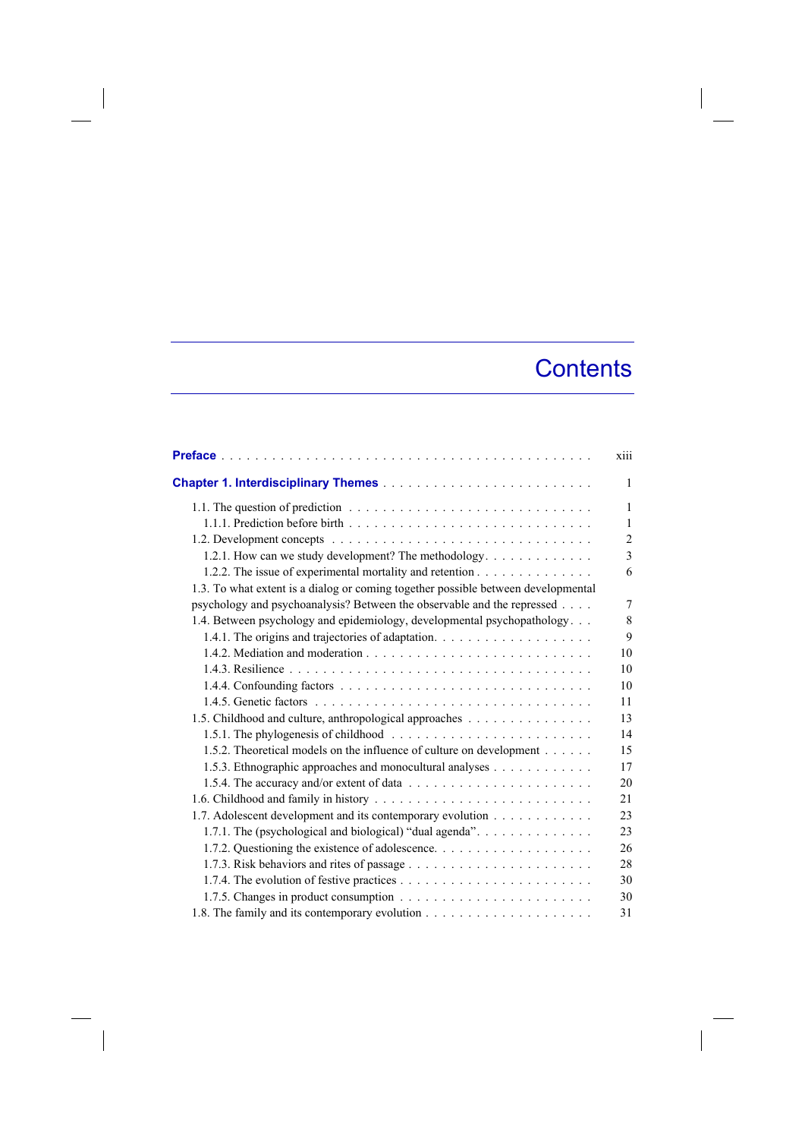## **Contents**

|                                                                                   | xiii           |
|-----------------------------------------------------------------------------------|----------------|
|                                                                                   | 1              |
|                                                                                   | 1              |
|                                                                                   | 1              |
|                                                                                   | $\overline{2}$ |
| 1.2.1. How can we study development? The methodology                              | 3              |
| 1.2.2. The issue of experimental mortality and retention                          | 6              |
| 1.3. To what extent is a dialog or coming together possible between developmental |                |
| psychology and psychoanalysis? Between the observable and the repressed           | 7              |
| 1.4. Between psychology and epidemiology, developmental psychopathology           | 8              |
|                                                                                   | 9              |
|                                                                                   | 10             |
|                                                                                   | 10             |
|                                                                                   | 10             |
|                                                                                   | 11             |
| 1.5. Childhood and culture, anthropological approaches                            | 13             |
|                                                                                   | 14             |
| 1.5.2. Theoretical models on the influence of culture on development              | 15             |
| 1.5.3. Ethnographic approaches and monocultural analyses                          | 17             |
|                                                                                   | 20             |
|                                                                                   | 21             |
| 1.7. Adolescent development and its contemporary evolution                        | 23             |
| 1.7.1. The (psychological and biological) "dual agenda".                          | 23             |
|                                                                                   | 26             |
|                                                                                   | 28             |
|                                                                                   | 30             |
|                                                                                   | 30             |
|                                                                                   | 31             |

 $\overline{\phantom{a}}$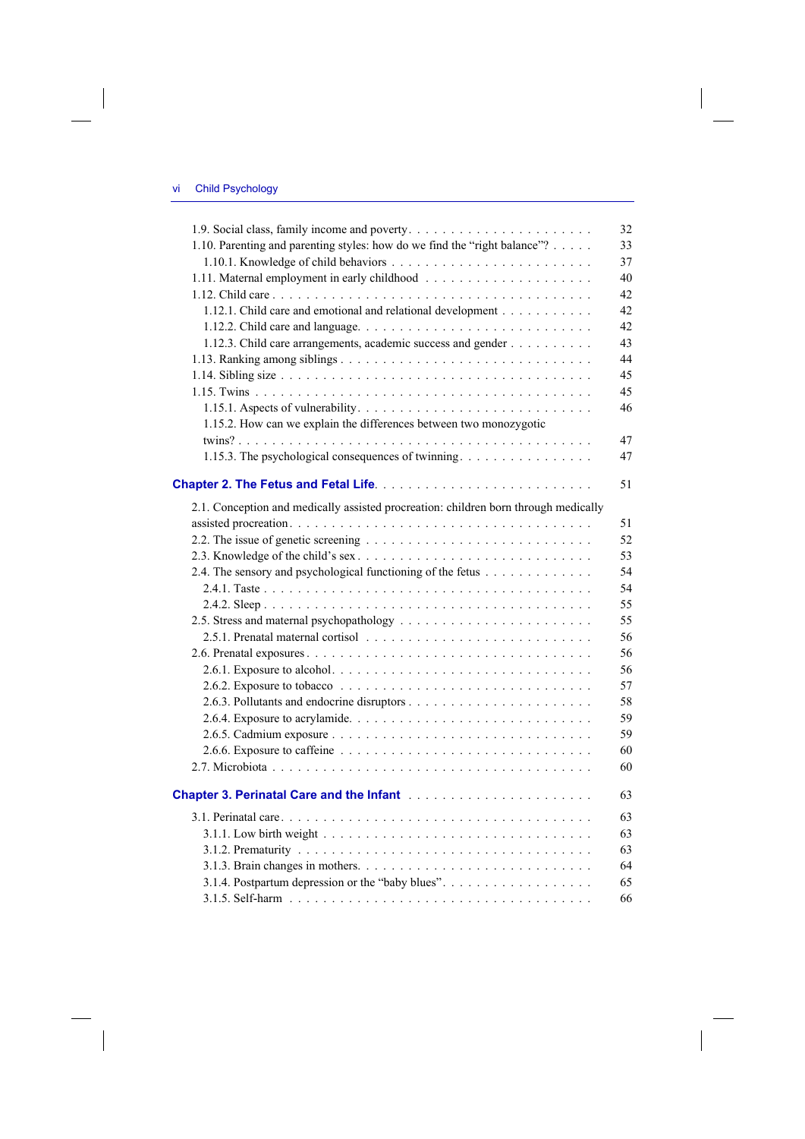$\overline{\phantom{a}}$ 

 $\overline{\phantom{a}}$ 

|                                                                                               | 32 |
|-----------------------------------------------------------------------------------------------|----|
| 1.10. Parenting and parenting styles: how do we find the "right balance"?                     | 33 |
|                                                                                               | 37 |
|                                                                                               | 40 |
|                                                                                               | 42 |
| 1.12.1. Child care and emotional and relational development                                   | 42 |
|                                                                                               | 42 |
| 1.12.3. Child care arrangements, academic success and gender                                  | 43 |
|                                                                                               | 44 |
|                                                                                               | 45 |
|                                                                                               | 45 |
|                                                                                               | 46 |
| 1.15.2. How can we explain the differences between two monozygotic                            |    |
|                                                                                               | 47 |
| 1.15.3. The psychological consequences of twinning                                            | 47 |
|                                                                                               |    |
|                                                                                               | 51 |
| 2.1. Conception and medically assisted procreation: children born through medically           |    |
|                                                                                               | 51 |
|                                                                                               | 52 |
|                                                                                               | 53 |
| 2.4. The sensory and psychological functioning of the fetus                                   | 54 |
|                                                                                               | 54 |
|                                                                                               | 55 |
|                                                                                               | 55 |
|                                                                                               | 56 |
|                                                                                               | 56 |
|                                                                                               | 56 |
|                                                                                               | 57 |
|                                                                                               | 58 |
|                                                                                               | 59 |
|                                                                                               | 59 |
|                                                                                               | 60 |
|                                                                                               | 60 |
|                                                                                               |    |
| Chapter 3. Perinatal Care and the Infant <b>Fig. 1. Action 2. Act 2. Act 2. Act 2. Act 2.</b> | 63 |
|                                                                                               | 63 |
|                                                                                               | 63 |
|                                                                                               | 63 |
|                                                                                               | 64 |
|                                                                                               | 65 |
|                                                                                               | 66 |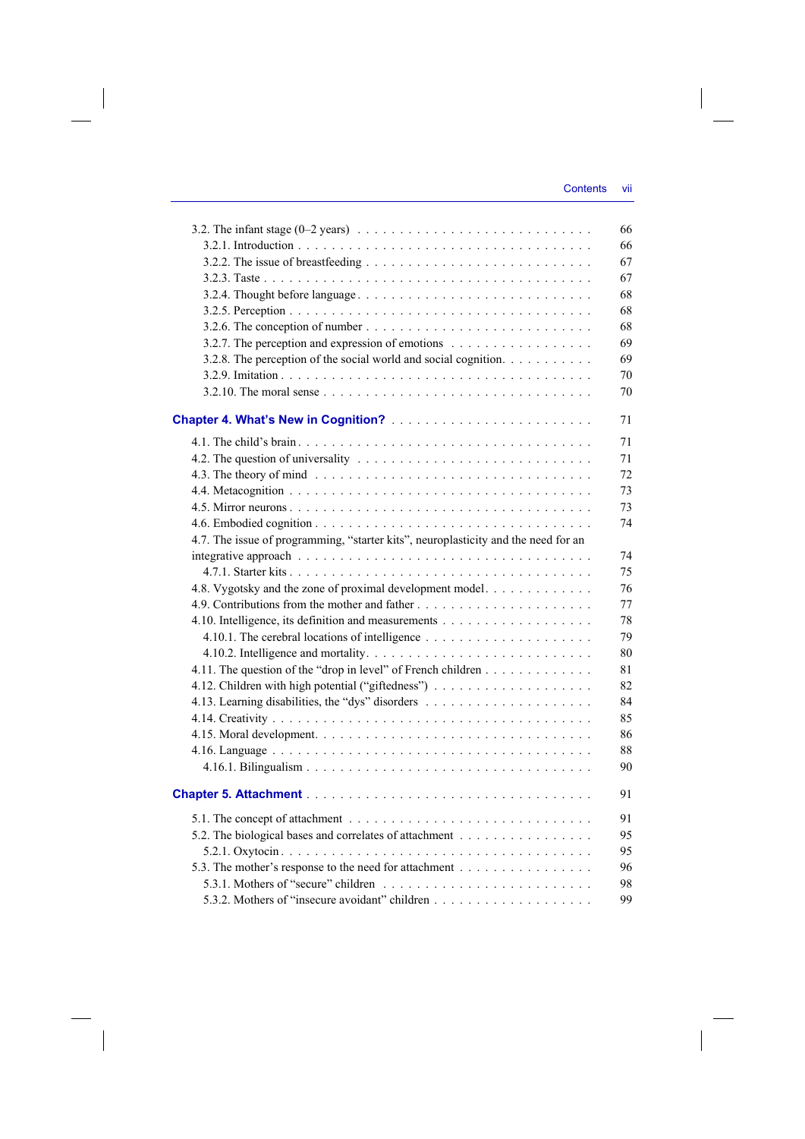|                                                                                                         | 66 |
|---------------------------------------------------------------------------------------------------------|----|
|                                                                                                         | 66 |
|                                                                                                         | 67 |
|                                                                                                         | 67 |
| 3.2.4. Thought before language                                                                          | 68 |
|                                                                                                         | 68 |
| 3.2.6. The conception of number $\ldots \ldots \ldots \ldots \ldots \ldots \ldots \ldots \ldots \ldots$ | 68 |
| 3.2.7. The perception and expression of emotions                                                        | 69 |
| 3.2.8. The perception of the social world and social cognition.                                         | 69 |
|                                                                                                         | 70 |
|                                                                                                         | 70 |
|                                                                                                         |    |
|                                                                                                         | 71 |
|                                                                                                         | 71 |
|                                                                                                         | 71 |
|                                                                                                         | 72 |
|                                                                                                         | 73 |
|                                                                                                         | 73 |
|                                                                                                         | 74 |
| 4.7. The issue of programming, "starter kits", neuroplasticity and the need for an                      |    |
|                                                                                                         | 74 |
|                                                                                                         | 75 |
| 4.8. Vygotsky and the zone of proximal development model.                                               | 76 |
|                                                                                                         | 77 |
|                                                                                                         | 78 |
|                                                                                                         | 79 |
|                                                                                                         | 80 |
| 4.11. The question of the "drop in level" of French children                                            | 81 |
|                                                                                                         | 82 |
|                                                                                                         | 84 |
|                                                                                                         | 85 |
|                                                                                                         | 86 |
|                                                                                                         | 88 |
|                                                                                                         | 90 |
|                                                                                                         | 91 |
|                                                                                                         | 91 |
| 5.2. The biological bases and correlates of attachment                                                  | 95 |
|                                                                                                         | 95 |
| 5.3. The mother's response to the need for attachment                                                   | 96 |
|                                                                                                         | 98 |
|                                                                                                         | 99 |

 $\overline{\phantom{a}}$ 

 $\begin{array}{c} \hline \end{array}$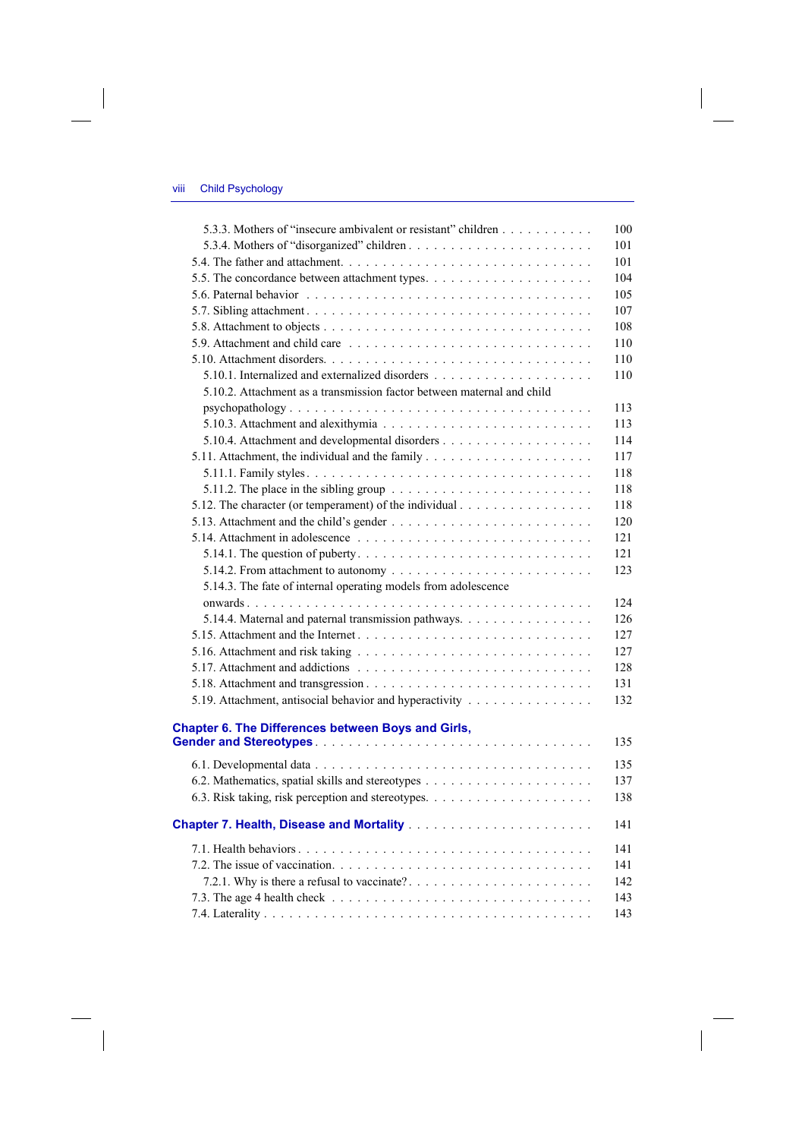$\overline{\phantom{a}}$ 

 $\overline{\phantom{a}}$ 

| 5.3.3. Mothers of "insecure ambivalent or resistant" children                                    | 100 |
|--------------------------------------------------------------------------------------------------|-----|
|                                                                                                  | 101 |
|                                                                                                  | 101 |
|                                                                                                  | 104 |
|                                                                                                  | 105 |
|                                                                                                  | 107 |
|                                                                                                  | 108 |
|                                                                                                  | 110 |
|                                                                                                  | 110 |
|                                                                                                  | 110 |
| 5.10.2. Attachment as a transmission factor between maternal and child                           |     |
|                                                                                                  | 113 |
|                                                                                                  | 113 |
|                                                                                                  | 114 |
|                                                                                                  | 117 |
|                                                                                                  | 118 |
| 5.11.2. The place in the sibling group $\ldots \ldots \ldots \ldots \ldots \ldots \ldots \ldots$ | 118 |
|                                                                                                  | 118 |
| 5.12. The character (or temperament) of the individual                                           |     |
|                                                                                                  | 120 |
|                                                                                                  | 121 |
|                                                                                                  | 121 |
|                                                                                                  | 123 |
| 5.14.3. The fate of internal operating models from adolescence                                   |     |
|                                                                                                  | 124 |
| 5.14.4. Maternal and paternal transmission pathways.                                             | 126 |
|                                                                                                  | 127 |
|                                                                                                  | 127 |
|                                                                                                  | 128 |
|                                                                                                  | 131 |
| 5.19. Attachment, antisocial behavior and hyperactivity                                          | 132 |
|                                                                                                  |     |
| <b>Chapter 6. The Differences between Boys and Girls,</b>                                        | 135 |
|                                                                                                  |     |
|                                                                                                  | 135 |
|                                                                                                  | 137 |
|                                                                                                  | 138 |
|                                                                                                  |     |
|                                                                                                  | 141 |
|                                                                                                  | 141 |
|                                                                                                  | 141 |
|                                                                                                  | 142 |
|                                                                                                  | 143 |
|                                                                                                  | 143 |

 $\overline{\phantom{a}}$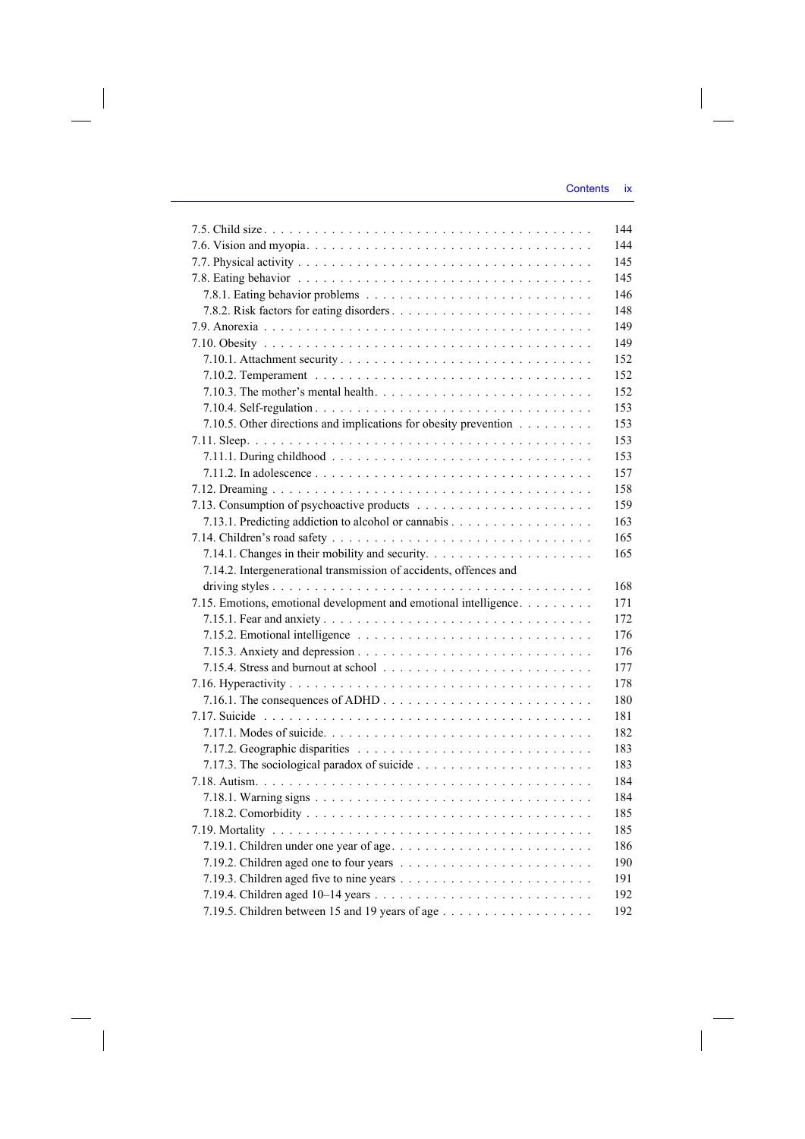$\overline{\phantom{a}}$ 

| 144                                                                      |
|--------------------------------------------------------------------------|
| 144                                                                      |
| 145                                                                      |
| 145                                                                      |
| 146                                                                      |
| 148                                                                      |
| 149                                                                      |
| 149                                                                      |
| 152                                                                      |
| 152                                                                      |
| 152                                                                      |
| 153                                                                      |
| 7.10.5. Other directions and implications for obesity prevention<br>153  |
| 153                                                                      |
| 153                                                                      |
| 157                                                                      |
| 158                                                                      |
| 159                                                                      |
| 163                                                                      |
| 165                                                                      |
|                                                                          |
| 165                                                                      |
| 7.14.2. Intergenerational transmission of accidents, offences and        |
| 168                                                                      |
| 7.15. Emotions, emotional development and emotional intelligence.<br>171 |
| 172                                                                      |
| 176                                                                      |
| 176                                                                      |
| 177                                                                      |
| 178                                                                      |
| 180                                                                      |
| 181                                                                      |
| 182                                                                      |
| 183                                                                      |
| 183                                                                      |
| 184                                                                      |
| 184                                                                      |
| 185                                                                      |
| 185                                                                      |
| 186                                                                      |
| 190                                                                      |
| 191                                                                      |
| 192                                                                      |
| 192                                                                      |
|                                                                          |

 $\overline{\phantom{a}}$ 

 $\begin{array}{c} \hline \end{array}$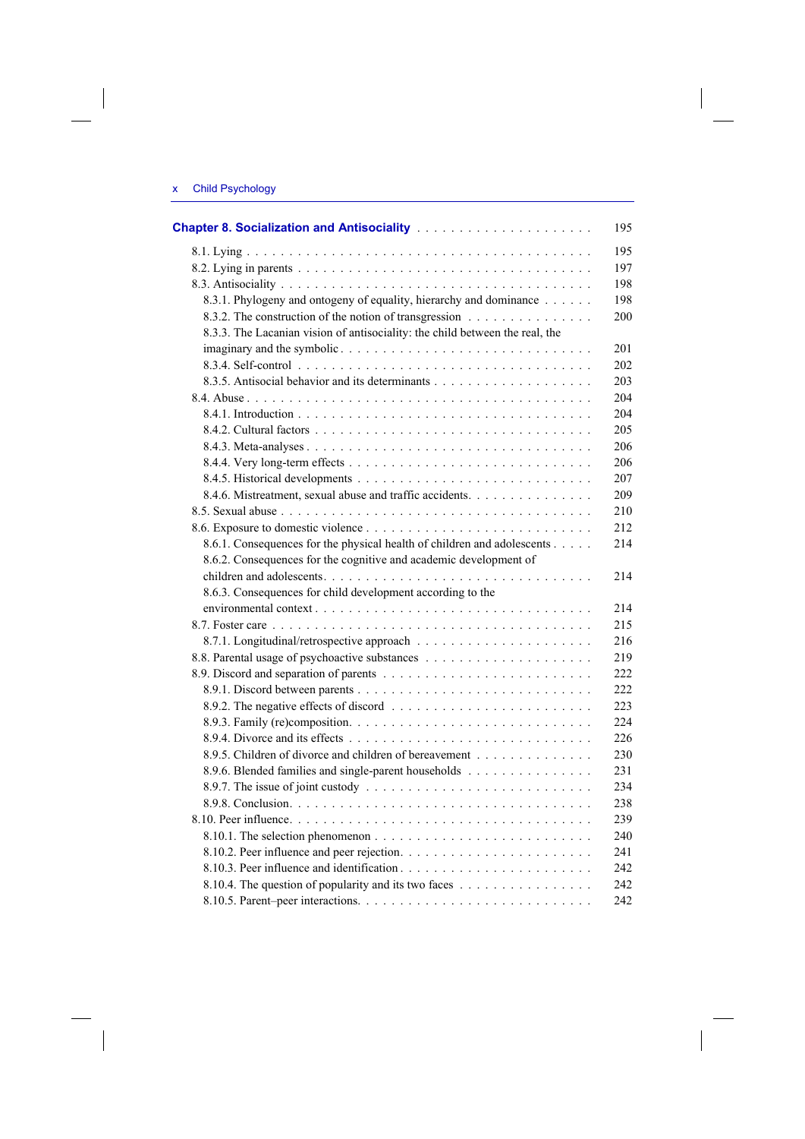$\begin{array}{c} \hline \end{array}$ 

 $\begin{array}{c} \hline \end{array}$ 

|                                                                              | 195 |
|------------------------------------------------------------------------------|-----|
|                                                                              | 195 |
|                                                                              | 197 |
|                                                                              | 198 |
| 8.3.1. Phylogeny and ontogeny of equality, hierarchy and dominance           | 198 |
| 8.3.2. The construction of the notion of transgression                       | 200 |
| 8.3.3. The Lacanian vision of antisociality: the child between the real, the |     |
|                                                                              | 201 |
|                                                                              | 202 |
|                                                                              | 203 |
|                                                                              | 204 |
|                                                                              | 204 |
|                                                                              | 205 |
|                                                                              | 206 |
|                                                                              | 206 |
|                                                                              | 207 |
| 8.4.6. Mistreatment, sexual abuse and traffic accidents.                     | 209 |
|                                                                              | 210 |
|                                                                              | 212 |
| 8.6.1. Consequences for the physical health of children and adolescents      | 214 |
| 8.6.2. Consequences for the cognitive and academic development of            |     |
|                                                                              | 214 |
| 8.6.3. Consequences for child development according to the                   |     |
|                                                                              | 214 |
|                                                                              | 215 |
|                                                                              | 216 |
|                                                                              | 219 |
|                                                                              | 222 |
|                                                                              | 222 |
|                                                                              | 223 |
|                                                                              | 224 |
|                                                                              | 226 |
| 8.9.5. Children of divorce and children of bereavement                       | 230 |
| 8.9.6. Blended families and single-parent households                         | 231 |
|                                                                              | 234 |
|                                                                              | 238 |
|                                                                              | 239 |
|                                                                              | 240 |
|                                                                              | 241 |
|                                                                              | 242 |
| 8.10.4. The question of popularity and its two faces                         | 242 |
|                                                                              | 242 |
|                                                                              |     |

 $\begin{array}{c} \end{array}$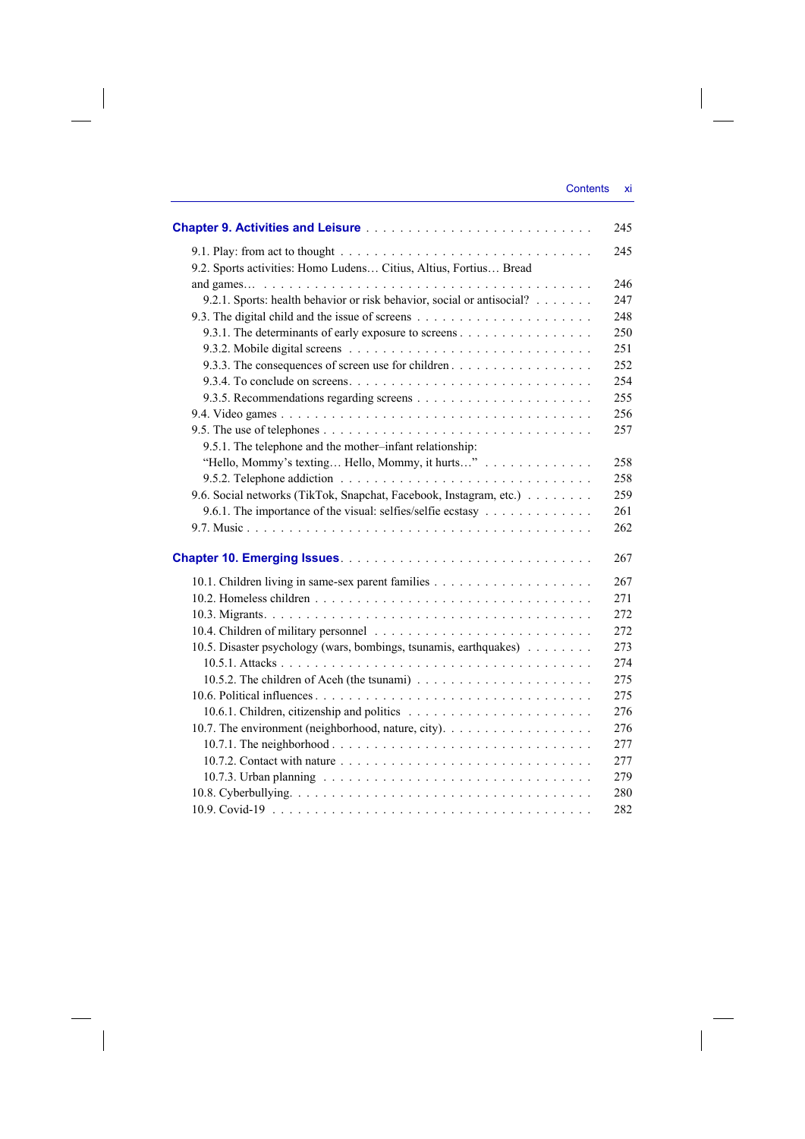|                                                                        | 245 |
|------------------------------------------------------------------------|-----|
|                                                                        | 245 |
| 9.2. Sports activities: Homo Ludens Citius, Altius, Fortius Bread      |     |
|                                                                        | 246 |
| 9.2.1. Sports: health behavior or risk behavior, social or antisocial? | 247 |
|                                                                        | 248 |
| 9.3.1. The determinants of early exposure to screens                   | 250 |
|                                                                        | 251 |
| 9.3.3. The consequences of screen use for children                     | 252 |
|                                                                        | 254 |
|                                                                        | 255 |
|                                                                        | 256 |
|                                                                        | 257 |
| 9.5.1. The telephone and the mother-infant relationship:               |     |
| "Hello, Mommy's texting Hello, Mommy, it hurts"                        | 258 |
|                                                                        | 258 |
| 9.6. Social networks (TikTok, Snapchat, Facebook, Instagram, etc.)     | 259 |
| 9.6.1. The importance of the visual: selfies/selfie ecstasy            | 261 |
|                                                                        | 262 |
|                                                                        | 267 |
|                                                                        | 267 |
|                                                                        | 271 |
|                                                                        | 272 |
|                                                                        | 272 |
| 10.5. Disaster psychology (wars, bombings, tsunamis, earthquakes)      | 273 |
|                                                                        | 274 |
|                                                                        | 275 |
|                                                                        | 275 |
|                                                                        | 276 |
| 10.7. The environment (neighborhood, nature, city).                    | 276 |
|                                                                        | 277 |
|                                                                        | 277 |
|                                                                        | 279 |
|                                                                        | 280 |
|                                                                        | 282 |